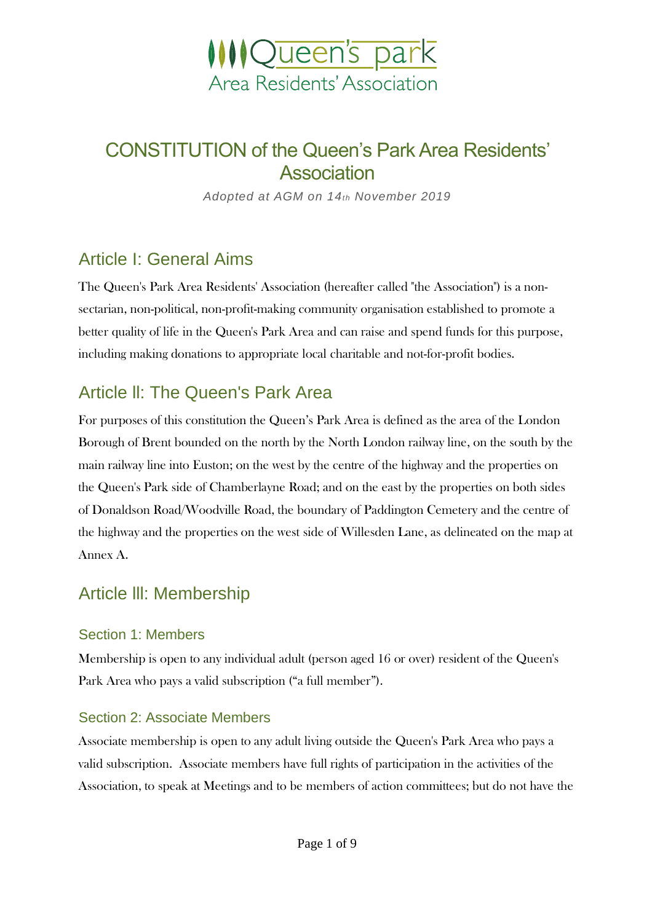

# CONSTITUTION of the Queen's Park Area Residents' **Association**

*Adopted at AGM on 14th November 2019*

## Article I: General Aims

The Queen's Park Area Residents' Association (hereafter called "the Association") is a nonsectarian, non-political, non-profit-making community organisation established to promote a better quality of life in the Queen's Park Area and can raise and spend funds for this purpose, including making donations to appropriate local charitable and not-for-profit bodies.

## Article ll: The Queen's Park Area

For purposes of this constitution the Queen's Park Area is defined as the area of the London Borough of Brent bounded on the north by the North London railway line, on the south by the main railway line into Euston; on the west by the centre of the highway and the properties on the Queen's Park side of Chamberlayne Road; and on the east by the properties on both sides of Donaldson Road/Woodville Road, the boundary of Paddington Cemetery and the centre of the highway and the properties on the west side of Willesden Lane, as delineated on the map at Annex A.

## Article lll: Membership

### Section 1: Members

Membership is open to any individual adult (person aged 16 or over) resident of the Queen's Park Area who pays a valid subscription ("a full member").

### Section 2: Associate Members

Associate membership is open to any adult living outside the Queen's Park Area who pays a valid subscription. Associate members have full rights of participation in the activities of the Association, to speak at Meetings and to be members of action committees; but do not have the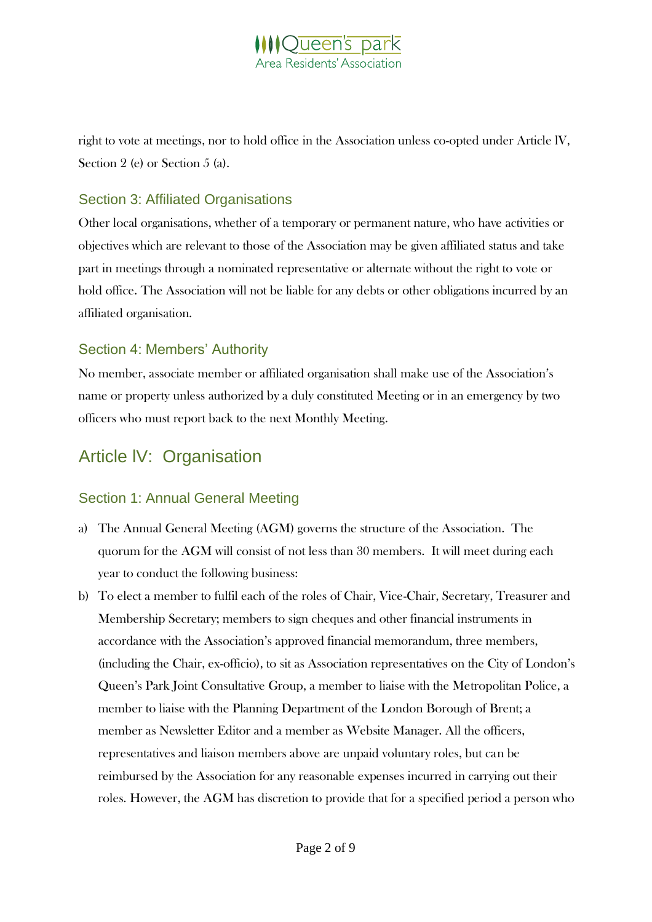

right to vote at meetings, nor to hold office in the Association unless co-opted under Article lV, Section 2 (e) or Section 5 (a).

#### Section 3: Affiliated Organisations

Other local organisations, whether of a temporary or permanent nature, who have activities or objectives which are relevant to those of the Association may be given affiliated status and take part in meetings through a nominated representative or alternate without the right to vote or hold office. The Association will not be liable for any debts or other obligations incurred by an affiliated organisation.

#### Section 4: Members' Authority

No member, associate member or affiliated organisation shall make use of the Association's name or property unless authorized by a duly constituted Meeting or in an emergency by two officers who must report back to the next Monthly Meeting.

## Article lV: Organisation

#### Section 1: Annual General Meeting

- a) The Annual General Meeting (AGM) governs the structure of the Association. The quorum for the AGM will consist of not less than 30 members. It will meet during each year to conduct the following business:
- b) To elect a member to fulfil each of the roles of Chair, Vice-Chair, Secretary, Treasurer and Membership Secretary; members to sign cheques and other financial instruments in accordance with the Association's approved financial memorandum, three members, (including the Chair, ex-officio), to sit as Association representatives on the City of London's Queen's Park Joint Consultative Group, a member to liaise with the Metropolitan Police, a member to liaise with the Planning Department of the London Borough of Brent; a member as Newsletter Editor and a member as Website Manager. All the officers, representatives and liaison members above are unpaid voluntary roles, but can be reimbursed by the Association for any reasonable expenses incurred in carrying out their roles. However, the AGM has discretion to provide that for a specified period a person who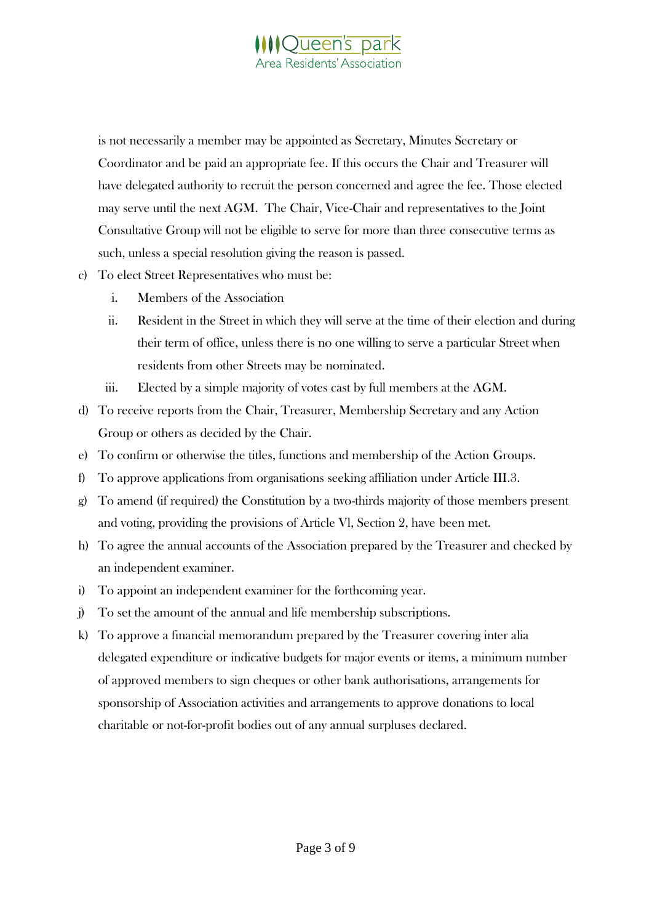

is not necessarily a member may be appointed as Secretary, Minutes Secretary or Coordinator and be paid an appropriate fee. If this occurs the Chair and Treasurer will have delegated authority to recruit the person concerned and agree the fee. Those elected may serve until the next AGM. The Chair, Vice-Chair and representatives to the Joint Consultative Group will not be eligible to serve for more than three consecutive terms as such, unless a special resolution giving the reason is passed.

- c) To elect Street Representatives who must be:
	- i. Members of the Association
	- ii. Resident in the Street in which they will serve at the time of their election and during their term of office, unless there is no one willing to serve a particular Street when residents from other Streets may be nominated.
	- iii. Elected by a simple majority of votes cast by full members at the AGM.
- d) To receive reports from the Chair, Treasurer, Membership Secretary and any Action Group or others as decided by the Chair.
- e) To confirm or otherwise the titles, functions and membership of the Action Groups.
- f) To approve applications from organisations seeking affiliation under Article III.3.
- g) To amend (if required) the Constitution by a two-thirds majority of those members present and voting, providing the provisions of Article Vl, Section 2, have been met.
- h) To agree the annual accounts of the Association prepared by the Treasurer and checked by an independent examiner.
- i) To appoint an independent examiner for the forthcoming year.
- j) To set the amount of the annual and life membership subscriptions.
- k) To approve a financial memorandum prepared by the Treasurer covering inter alia delegated expenditure or indicative budgets for major events or items, a minimum number of approved members to sign cheques or other bank authorisations, arrangements for sponsorship of Association activities and arrangements to approve donations to local charitable or not-for-profit bodies out of any annual surpluses declared.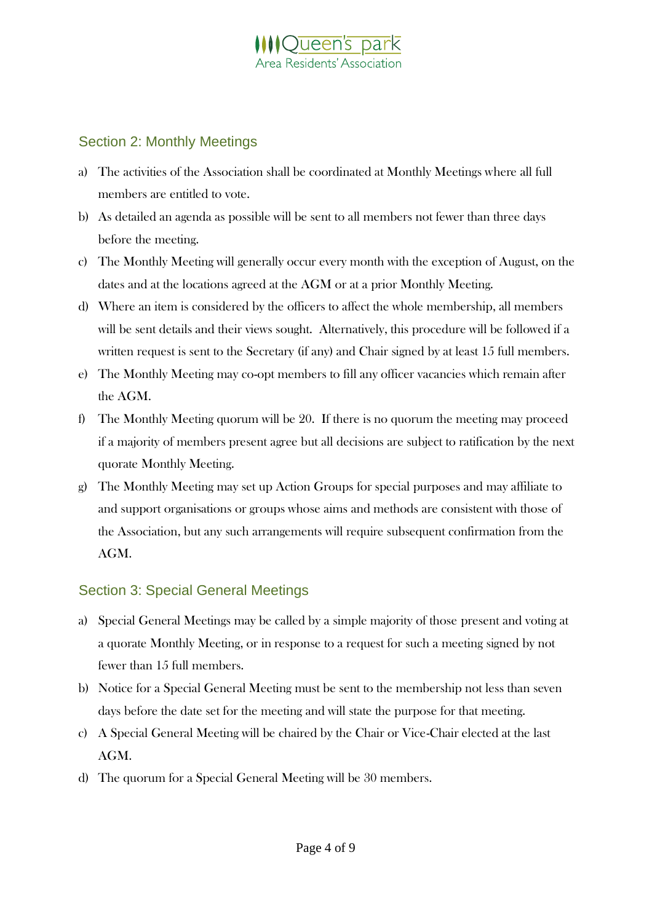## **IOueen's park** ea Residents' Association

#### Section 2: Monthly Meetings

- a) The activities of the Association shall be coordinated at Monthly Meetings where all full members are entitled to vote.
- b) As detailed an agenda as possible will be sent to all members not fewer than three days before the meeting.
- c) The Monthly Meeting will generally occur every month with the exception of August, on the dates and at the locations agreed at the AGM or at a prior Monthly Meeting.
- d) Where an item is considered by the officers to affect the whole membership, all members will be sent details and their views sought. Alternatively, this procedure will be followed if a written request is sent to the Secretary (if any) and Chair signed by at least 15 full members.
- e) The Monthly Meeting may co-opt members to fill any officer vacancies which remain after the AGM.
- f) The Monthly Meeting quorum will be 20. If there is no quorum the meeting may proceed if a majority of members present agree but all decisions are subject to ratification by the next quorate Monthly Meeting.
- g) The Monthly Meeting may set up Action Groups for special purposes and may affiliate to and support organisations or groups whose aims and methods are consistent with those of the Association, but any such arrangements will require subsequent confirmation from the AGM.

### Section 3: Special General Meetings

- a) Special General Meetings may be called by a simple majority of those present and voting at a quorate Monthly Meeting, or in response to a request for such a meeting signed by not fewer than 15 full members.
- b) Notice for a Special General Meeting must be sent to the membership not less than seven days before the date set for the meeting and will state the purpose for that meeting.
- c) A Special General Meeting will be chaired by the Chair or Vice-Chair elected at the last AGM.
- d) The quorum for a Special General Meeting will be 30 members.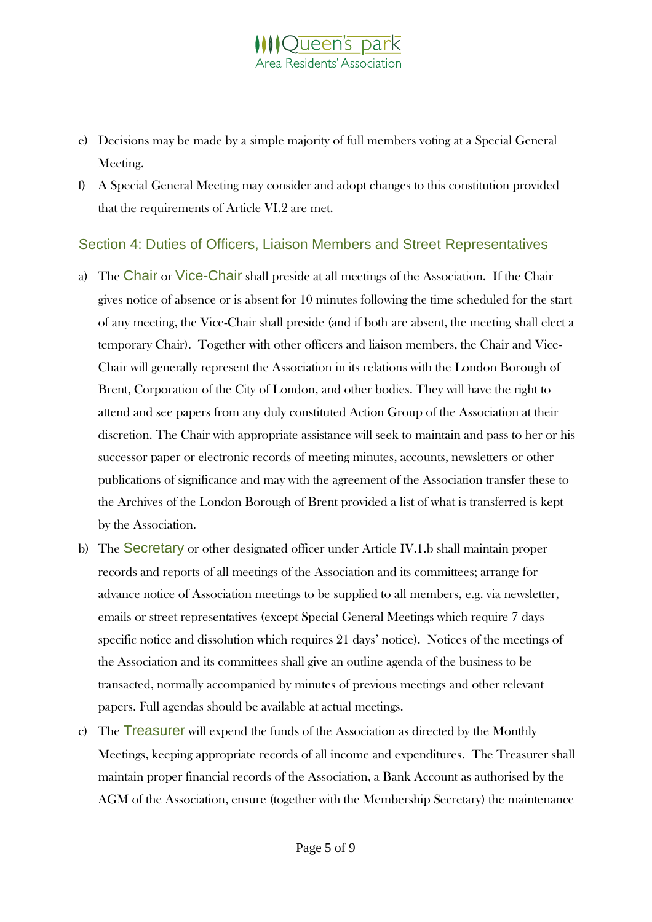### **IQueen's park** rea Residents' Association

- e) Decisions may be made by a simple majority of full members voting at a Special General Meeting.
- f) A Special General Meeting may consider and adopt changes to this constitution provided that the requirements of Article VI.2 are met.

### Section 4: Duties of Officers, Liaison Members and Street Representatives

- a) The Chair or Vice-Chair shall preside at all meetings of the Association. If the Chair gives notice of absence or is absent for 10 minutes following the time scheduled for the start of any meeting, the Vice-Chair shall preside (and if both are absent, the meeting shall elect a temporary Chair). Together with other officers and liaison members, the Chair and Vice-Chair will generally represent the Association in its relations with the London Borough of Brent, Corporation of the City of London, and other bodies. They will have the right to attend and see papers from any duly constituted Action Group of the Association at their discretion. The Chair with appropriate assistance will seek to maintain and pass to her or his successor paper or electronic records of meeting minutes, accounts, newsletters or other publications of significance and may with the agreement of the Association transfer these to the Archives of the London Borough of Brent provided a list of what is transferred is kept by the Association.
- b) The Secretary or other designated officer under Article IV.1.b shall maintain proper records and reports of all meetings of the Association and its committees; arrange for advance notice of Association meetings to be supplied to all members, e.g. via newsletter, emails or street representatives (except Special General Meetings which require 7 days specific notice and dissolution which requires 21 days' notice). Notices of the meetings of the Association and its committees shall give an outline agenda of the business to be transacted, normally accompanied by minutes of previous meetings and other relevant papers. Full agendas should be available at actual meetings.
- c) The Treasurer will expend the funds of the Association as directed by the Monthly Meetings, keeping appropriate records of all income and expenditures. The Treasurer shall maintain proper financial records of the Association, a Bank Account as authorised by the AGM of the Association, ensure (together with the Membership Secretary) the maintenance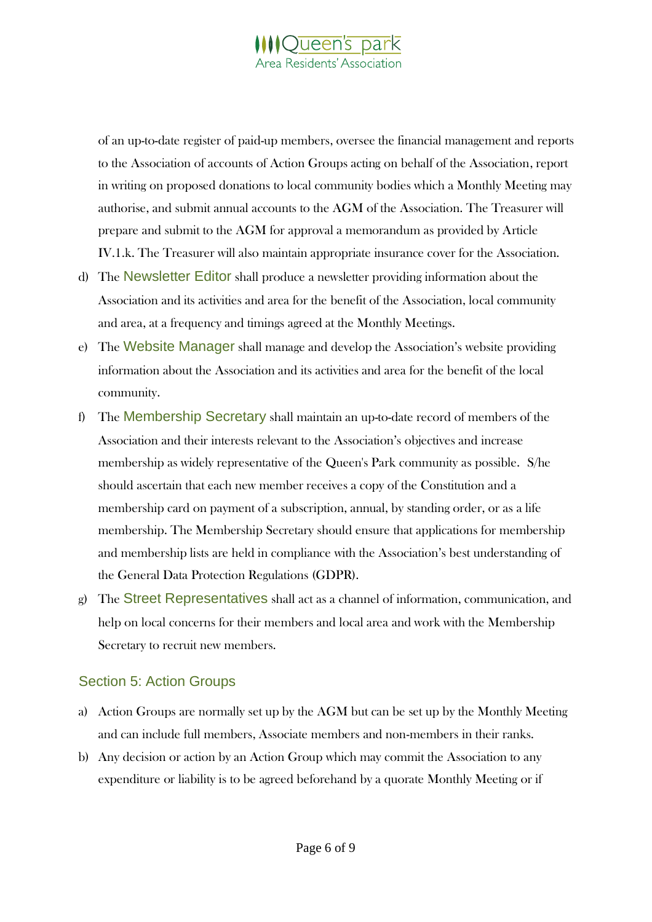

of an up-to-date register of paid-up members, oversee the financial management and reports to the Association of accounts of Action Groups acting on behalf of the Association, report in writing on proposed donations to local community bodies which a Monthly Meeting may authorise, and submit annual accounts to the AGM of the Association. The Treasurer will prepare and submit to the AGM for approval a memorandum as provided by Article IV.1.k. The Treasurer will also maintain appropriate insurance cover for the Association.

- d) The Newsletter Editor shall produce a newsletter providing information about the Association and its activities and area for the benefit of the Association, local community and area, at a frequency and timings agreed at the Monthly Meetings.
- e) The Website Manager shall manage and develop the Association's website providing information about the Association and its activities and area for the benefit of the local community.
- f) The Membership Secretary shall maintain an up-to-date record of members of the Association and their interests relevant to the Association's objectives and increase membership as widely representative of the Queen's Park community as possible. S/he should ascertain that each new member receives a copy of the Constitution and a membership card on payment of a subscription, annual, by standing order, or as a life membership. The Membership Secretary should ensure that applications for membership and membership lists are held in compliance with the Association's best understanding of the General Data Protection Regulations (GDPR).
- g) The Street Representatives shall act as a channel of information, communication, and help on local concerns for their members and local area and work with the Membership Secretary to recruit new members.

#### Section 5: Action Groups

- a) Action Groups are normally set up by the AGM but can be set up by the Monthly Meeting and can include full members, Associate members and non-members in their ranks.
- b) Any decision or action by an Action Group which may commit the Association to any expenditure or liability is to be agreed beforehand by a quorate Monthly Meeting or if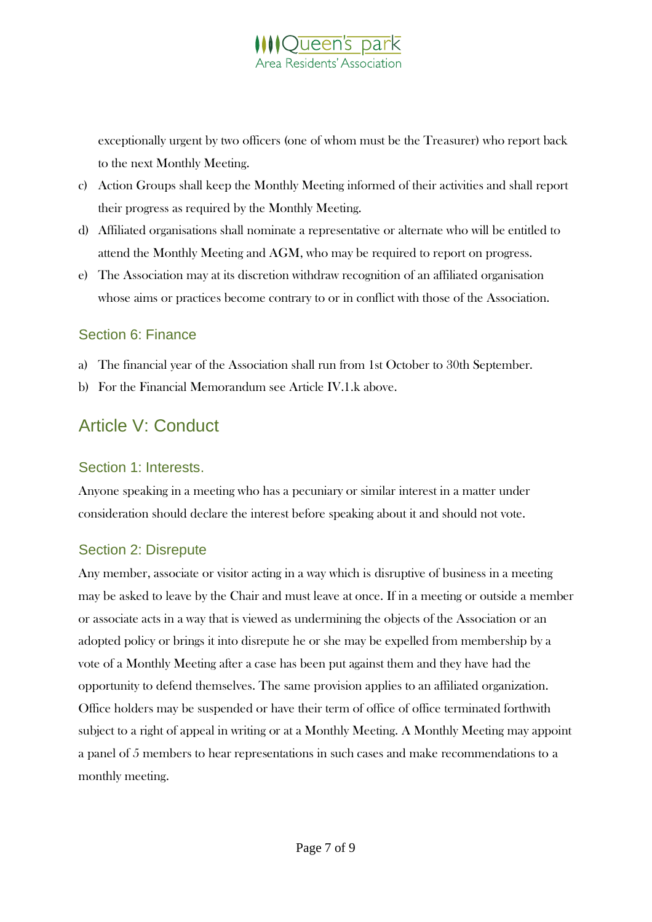exceptionally urgent by two officers (one of whom must be the Treasurer) who report back to the next Monthly Meeting.

- c) Action Groups shall keep the Monthly Meeting informed of their activities and shall report their progress as required by the Monthly Meeting.
- d) Affiliated organisations shall nominate a representative or alternate who will be entitled to attend the Monthly Meeting and AGM, who may be required to report on progress.
- e) The Association may at its discretion withdraw recognition of an affiliated organisation whose aims or practices become contrary to or in conflict with those of the Association.

#### Section 6: Finance

- a) The financial year of the Association shall run from 1st October to 30th September.
- b) For the Financial Memorandum see Article IV.1.k above.

## Article V: Conduct

#### Section 1: Interests.

Anyone speaking in a meeting who has a pecuniary or similar interest in a matter under consideration should declare the interest before speaking about it and should not vote.

### Section 2: Disrepute

Any member, associate or visitor acting in a way which is disruptive of business in a meeting may be asked to leave by the Chair and must leave at once. If in a meeting or outside a member or associate acts in a way that is viewed as undermining the objects of the Association or an adopted policy or brings it into disrepute he or she may be expelled from membership by a vote of a Monthly Meeting after a case has been put against them and they have had the opportunity to defend themselves. The same provision applies to an affiliated organization. Office holders may be suspended or have their term of office of office terminated forthwith subject to a right of appeal in writing or at a Monthly Meeting. A Monthly Meeting may appoint a panel of 5 members to hear representations in such cases and make recommendations to a monthly meeting.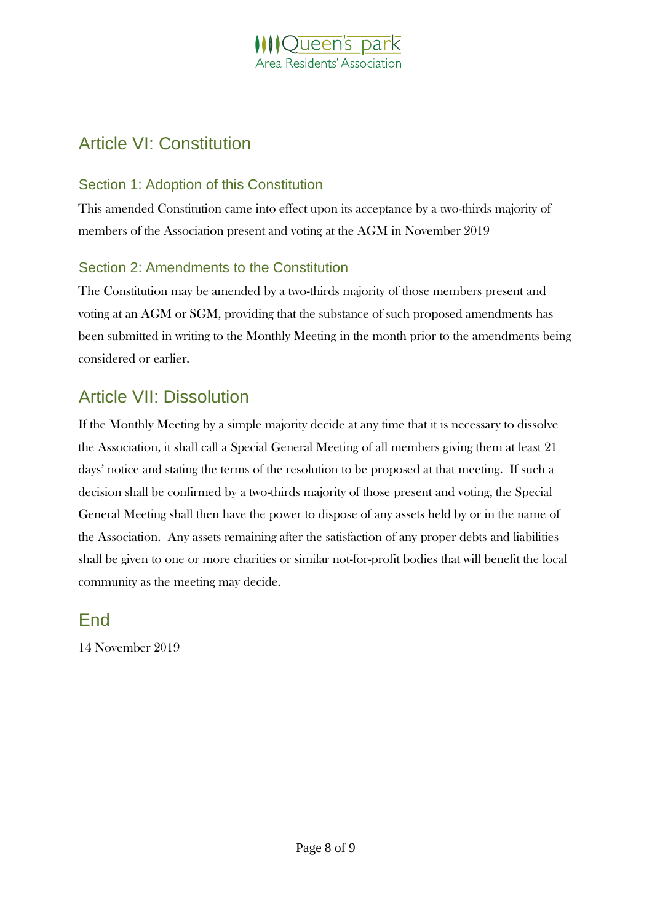## **IQueen's park** rea Residents' Association

## Article VI: Constitution

### Section 1: Adoption of this Constitution

This amended Constitution came into effect upon its acceptance by a two-thirds majority of members of the Association present and voting at the AGM in November 2019

### Section 2: Amendments to the Constitution

The Constitution may be amended by a two-thirds majority of those members present and voting at an AGM or SGM, providing that the substance of such proposed amendments has been submitted in writing to the Monthly Meeting in the month prior to the amendments being considered or earlier.

## Article VII: Dissolution

If the Monthly Meeting by a simple majority decide at any time that it is necessary to dissolve the Association, it shall call a Special General Meeting of all members giving them at least 21 days' notice and stating the terms of the resolution to be proposed at that meeting. If such a decision shall be confirmed by a two-thirds majority of those present and voting, the Special General Meeting shall then have the power to dispose of any assets held by or in the name of the Association. Any assets remaining after the satisfaction of any proper debts and liabilities shall be given to one or more charities or similar not-for-profit bodies that will benefit the local community as the meeting may decide.

End

14 November 2019